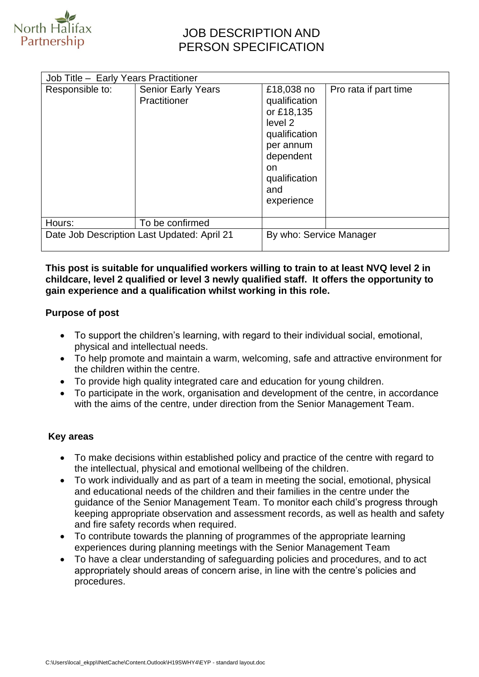

## JOB DESCRIPTION AND PERSON SPECIFICATION

| Responsible to:                             | <b>Senior Early Years</b> | £18,038 no                                                                                                       | Pro rata if part time |
|---------------------------------------------|---------------------------|------------------------------------------------------------------------------------------------------------------|-----------------------|
|                                             | Practitioner              | qualification<br>or £18,135<br>level 2<br>qualification<br>per annum<br>dependent<br>on.<br>qualification<br>and |                       |
| Hours:                                      | To be confirmed           | experience                                                                                                       |                       |
| Date Job Description Last Updated: April 21 |                           | By who: Service Manager                                                                                          |                       |

#### **This post is suitable for unqualified workers willing to train to at least NVQ level 2 in childcare, level 2 qualified or level 3 newly qualified staff. It offers the opportunity to gain experience and a qualification whilst working in this role.**

#### **Purpose of post**

- To support the children's learning, with regard to their individual social, emotional, physical and intellectual needs.
- To help promote and maintain a warm, welcoming, safe and attractive environment for the children within the centre.
- To provide high quality integrated care and education for young children.
- To participate in the work, organisation and development of the centre, in accordance with the aims of the centre, under direction from the Senior Management Team.

## **Key areas**

- To make decisions within established policy and practice of the centre with regard to the intellectual, physical and emotional wellbeing of the children.
- To work individually and as part of a team in meeting the social, emotional, physical and educational needs of the children and their families in the centre under the guidance of the Senior Management Team. To monitor each child's progress through keeping appropriate observation and assessment records, as well as health and safety and fire safety records when required.
- To contribute towards the planning of programmes of the appropriate learning experiences during planning meetings with the Senior Management Team
- To have a clear understanding of safeguarding policies and procedures, and to act appropriately should areas of concern arise, in line with the centre's policies and procedures.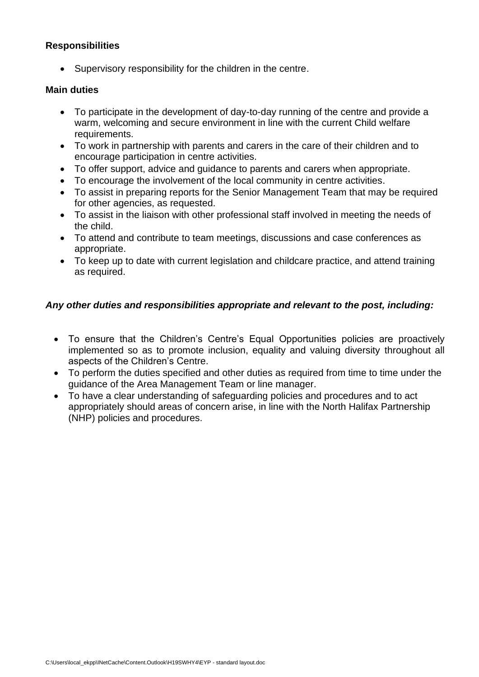## **Responsibilities**

• Supervisory responsibility for the children in the centre.

#### **Main duties**

- To participate in the development of day-to-day running of the centre and provide a warm, welcoming and secure environment in line with the current Child welfare requirements.
- To work in partnership with parents and carers in the care of their children and to encourage participation in centre activities.
- To offer support, advice and guidance to parents and carers when appropriate.
- To encourage the involvement of the local community in centre activities.
- To assist in preparing reports for the Senior Management Team that may be required for other agencies, as requested.
- To assist in the liaison with other professional staff involved in meeting the needs of the child.
- To attend and contribute to team meetings, discussions and case conferences as appropriate.
- To keep up to date with current legislation and childcare practice, and attend training as required.

## *Any other duties and responsibilities appropriate and relevant to the post, including:*

- To ensure that the Children's Centre's Equal Opportunities policies are proactively implemented so as to promote inclusion, equality and valuing diversity throughout all aspects of the Children's Centre.
- To perform the duties specified and other duties as required from time to time under the guidance of the Area Management Team or line manager.
- To have a clear understanding of safeguarding policies and procedures and to act appropriately should areas of concern arise, in line with the North Halifax Partnership (NHP) policies and procedures.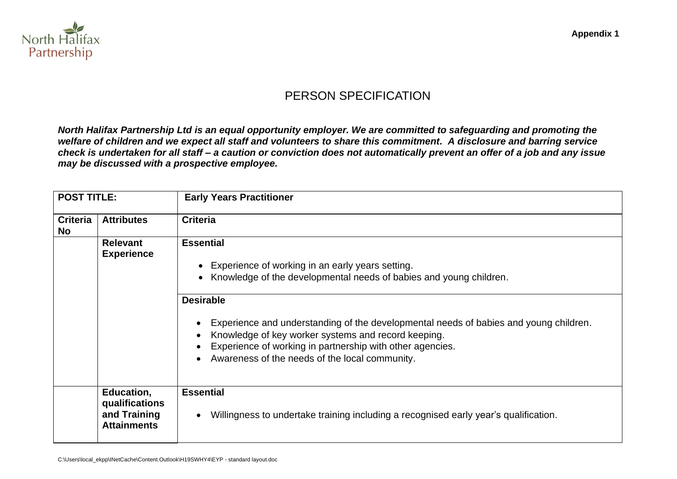

# PERSON SPECIFICATION

*North Halifax Partnership Ltd is an equal opportunity employer. We are committed to safeguarding and promoting the welfare of children and we expect all staff and volunteers to share this commitment. A disclosure and barring service check is undertaken for all staff – a caution or conviction does not automatically prevent an offer of a job and any issue may be discussed with a prospective employee.*

| <b>POST TITLE:</b>           |                                                                    | <b>Early Years Practitioner</b>                                                                                                                                                                                                                                                                                                                                                                                                                         |
|------------------------------|--------------------------------------------------------------------|---------------------------------------------------------------------------------------------------------------------------------------------------------------------------------------------------------------------------------------------------------------------------------------------------------------------------------------------------------------------------------------------------------------------------------------------------------|
| <b>Criteria</b><br><b>No</b> | <b>Attributes</b>                                                  | <b>Criteria</b>                                                                                                                                                                                                                                                                                                                                                                                                                                         |
|                              | <b>Relevant</b><br><b>Experience</b>                               | <b>Essential</b><br>Experience of working in an early years setting.<br>$\bullet$<br>Knowledge of the developmental needs of babies and young children.<br>$\bullet$<br><b>Desirable</b><br>Experience and understanding of the developmental needs of babies and young children.<br>Knowledge of key worker systems and record keeping.<br>Experience of working in partnership with other agencies.<br>Awareness of the needs of the local community. |
|                              | Education,<br>qualifications<br>and Training<br><b>Attainments</b> | <b>Essential</b><br>Willingness to undertake training including a recognised early year's qualification.                                                                                                                                                                                                                                                                                                                                                |